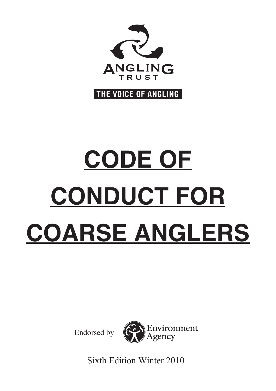

THE VOICE OF ANGLING

# **CODE OF CONDUCT FOR COARSE ANGLERS**

Endorsed by



Sixth Edition Winter 2010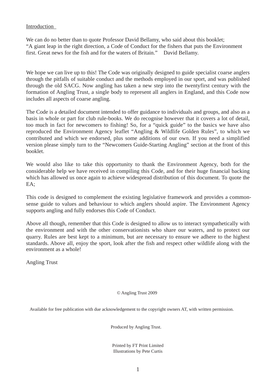#### Introduction

We can do no better than to quote Professor David Bellamy, who said about this booklet: "A giant leap in the right direction, a Code of Conduct for the fishers that puts the Environment first. Great news for the fish and for the waters of Britain."

We hope we can live up to this! The Code was originally designed to guide specialist coarse anglers through the pitfalls of suitable conduct and the methods employed in our sport, and was published through the old SACG. Now angling has taken a new step into the twentyfirst century with the formation of Angling Trust, a single body to represent all anglers in England, and this Code now includes all aspects of coarse angling.

The Code is a detailed document intended to offer guidance to individuals and groups, and also as a basis in whole or part for club rule-books. We do recognise however that it covers a lot of detail, too much in fact for newcomers to fishing! So, for a "quick guide" to the basics we have also reproduced the Environment Agency leaflet "Angling & Wildlife Golden Rules", to which we contributed and which we endorsed, plus some additions of our own. If you need a simplified version please simply turn to the "Newcomers Guide-Starting Angling" section at the front of this booklet.

We would also like to take this opportunity to thank the Environment Agency, both for the considerable help we have received in compiling this Code, and for their huge financial backing which has allowed us once again to achieve widespread distribution of this document. To quote the EA;

This code is designed to complement the existing legislative framework and provides a commonsense guide to values and behaviour to which anglers should aspire. The Environment Agency supports angling and fully endorses this Code of Conduct.

Above all though, remember that this Code is designed to allow us to interact sympathetically with the environment and with the other conservationists who share our waters, and to protect our quarry. Rules are best kept to a minimum, but are necessary to ensure we adhere to the highest standards. Above all, enjoy the sport, look after the fish and respect other wildlife along with the environment as a whole!

Angling Trust

© Angling Trust 2009

Available for free publication with due acknowledgement to the copyright owners AT, with written permission.

Produced by Angling Trust.

Printed by FT Print Limited Illustrations by Pete Curtis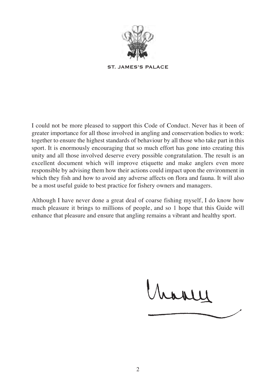

**ST. JAMES'S PALACE**

I could not be more pleased to support this Code of Conduct. Never has it been of greater importance for all those involved in angling and conservation bodies to work: together to ensure the highest standards of behaviour by all those who take part in this sport. It is enormously encouraging that so much effort has gone into creating this unity and all those involved deserve every possible congratulation. The result is an excellent document which will improve etiquette and make anglers even more responsible by advising them how their actions could impact upon the environment in which they fish and how to avoid any adverse affects on flora and fauna. It will also be a most useful guide to best practice for fishery owners and managers.

Although I have never done a great deal of coarse fishing myself, I do know how much pleasure it brings to millions of people, and so 1 hope that this Guide will enhance that pleasure and ensure that angling remains a vibrant and healthy sport.

have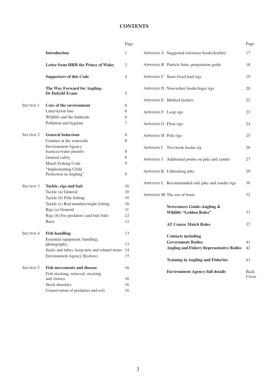# **CONTENTS**

|                  |                                                 | Page           |
|------------------|-------------------------------------------------|----------------|
|                  | <b>Introduction</b>                             | 1              |
|                  | <b>Letter from HRH the Prince of Wales</b>      | $\overline{c}$ |
|                  | <b>Supporters of this Code</b>                  | 4              |
|                  | The Way Forward for Angling-<br>Dr Dafydd Evans | 5              |
| SECTION 1        | Care of the environment                         | 6              |
|                  | Litter/nylon line                               | 6              |
|                  | Wildlife and the bankside                       | 6              |
|                  | Pollution and hygiene                           | $\overline{7}$ |
| <b>SECTION 2</b> | <b>General behaviour</b>                        | 8              |
|                  | Conduct at the waterside                        | 8              |
|                  | <b>Environment Agency</b>                       |                |
|                  | licences/water permits                          | 8              |
|                  | General safety                                  | 8              |
|                  | Match Fishing Code                              | 9              |
|                  | "Implementing Child                             |                |
|                  | Protection in Angling"                          | 9              |
| <b>SECTION 3</b> | Tackle, rigs and bait                           | 10             |
|                  | Tackle (a) General                              | 10             |
|                  | Tackle (b) Pole fishing                         | 10             |
|                  | Tackle (c) Rod numbers/night fishing            | 10             |
|                  | Rigs (a) General                                | 11             |
|                  | Rigs (b) For predators (and bait fish)          | 12             |
|                  | <b>Baits</b>                                    | 12             |
|                  |                                                 |                |
| <b>SECTION 4</b> | <b>Fish handling</b>                            | 13             |
|                  | Essential equipment; handling;                  |                |
|                  | photography;                                    | 13             |
|                  | Sacks and tubes; keep-nets and related items    | 14             |
|                  | <b>Environment Agency Byelaws</b>               | 15             |
| <b>SECTION 5</b> | <b>Fish movements and disease</b>               | 16             |
|                  | Fish stocking, removal, stocking                |                |
|                  | and viruses                                     | 16             |
|                  | Stock densities                                 | 16             |
|                  | Conservation of predators and eels              | 16             |

|                       |                                                  | Page                 |
|-----------------------|--------------------------------------------------|----------------------|
|                       | APPENDIX A Suggested reference books/leaflets    | 17                   |
|                       | APPENDIX B Particle baits, preparation guide     | 18                   |
|                       | APPENDIX C Semi-fixed lead rigs                  | 19                   |
|                       | APPENDIX D Non-tether feeder/leger rigs          | 20                   |
|                       | APPENDIX E Method feeders                        | 22                   |
| APPENDIX F Loop rigs  |                                                  | 23                   |
| APPENDIX G Float rigs |                                                  | 24                   |
| APPENDIX H Pole rigs  |                                                  | 25                   |
|                       | APPENDIX I Two hook feeder rig                   | 26                   |
|                       | APPENDIX J Additional points on pike and zander  | 27                   |
|                       | APPENDIX K Unhooking pike                        | 29                   |
|                       | APPENDIX L Recommended safe pike and zander rigs | 30                   |
|                       | APPENDIX M The use of boats                      | 32                   |
|                       | Newcomers Guide-Angling &                        |                      |
|                       | <b>Wildlife "Golden Rules"</b>                   | 33                   |
|                       | <b>AT Coarse Match Rules</b>                     | 37                   |
|                       | <b>Contacts including</b>                        |                      |
|                       | <b>Government Bodies</b>                         | 41                   |
|                       | <b>Angling and Fishery Representative Bodies</b> | 42                   |
|                       | <b>Training in Angling and Fisheries</b>         | 43                   |
|                       | <b>Environment Agency-full details</b>           | <b>Back</b><br>Cover |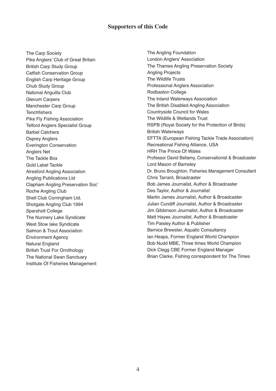#### **Supporters of this Code**

The Carp Society Pike Anglers' Club of Great Britain British Carp Study Group Catfish Conservation Group English Carp Heritage Group Chub Study Group National Anguilla Club Glevum Carpers Manchester Carp Group **Tenchfishers** Pike Fly Fishing Association Telford Anglers Specialist Group Barbel Catchers Osprey Anglers Everington Conservation Anglers Net The Tackle Box Gold Label Tackle Alresford Angling Association Angling Publications Ltd Clapham Angling Preservation Soc' Roche Angling Club Shell Club Corringham Ltd. Shotgate Angling Club 1994 Sparsholt College The Nunnery Lake Syndicate West Stow lake Syndicate Salmon & Trout Association Environment Agency Natural England British Trust For Ornithology The National Swan Sanctuary Institute Of Fisheries Management

The Angling Foundation London Anglers' Association The Thames Angling Preservation Society Angling Projects The Wildlife Trusts Professional Anglers Association Rodbaston College The Inland Waterways Association The British Disabled Angling Association Countryside Council for Wales The Wildlife & Wetlands Trust RSPB (Royal Society for the Protection of Birds) British Waterways EFTTA (European Fishing Tackle Trade Association) Recreational Fishing Alliance, USA HRH The Prince Of Wales Professor David Bellamy, Conservationist & Broadcaster Lord Mason of Barnsley Dr. Bruno Broughton, Fisheries Management Consultant Chris Tarrant, Broadcaster Bob James Journalist, Author & Broadcaster Des Taylor, Author & Journalist Martin James Journalist, Author & Broadcaster Julian Cundiff Journalist, Author & Broadcaster Jim Gibbinson Journalist, Author & Broadcaster Matt Hayes Journalist, Author & Broadcaster Tim Paisley Author & Publisher Bernice Brewster, Aquatic Consultancy lan Heaps, Former England World Champion Bob Nudd MBE, Three times World Champion Dick Clegg CBE Former England Manager Brian Clarke, Fishing correspondent for The Times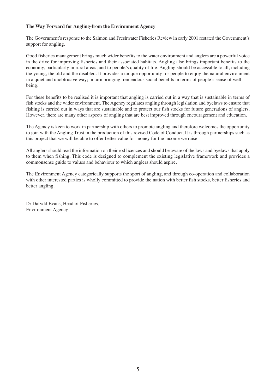#### **The Way Forward for Angling-from the Environment Agency**

The Government's response to the Salmon and Freshwater Fisheries Review in early 2001 restated the Government's support for angling.

Good fisheries management brings much wider benefits to the water environment and anglers are a powerful voice in the drive for improving fisheries and their associated habitats. Angling also brings important benefits to the economy, particularly in rural areas, and to people's quality of life. Angling should be accessible to all, including the young, the old and the disabled. It provides a unique opportunity for people to enjoy the natural environment in a quiet and unobtrusive way; in turn bringing tremendous social benefits in terms of people's sense of well being.

For these benefits to be realised it is important that angling is carried out in a way that is sustainable in terms of fish stocks and the wider environment. The Agency regulates angling through legislation and byelaws to ensure that fishing is carried out in ways that are sustainable and to protect our fish stocks for future generations of anglers. However, there are many other aspects of angling that are best improved through encouragement and education.

The Agency is keen to work in partnership with others to promote angling and therefore welcomes the opportunity to join with the Angling Trust in the production of this revised Code of Conduct. It is through partnerships such as this project that we will be able to offer better value for money for the income we raise.

All anglers should read the information on their rod licences and should be aware of the laws and byelaws that apply to them when fishing. This code is designed to complement the existing legislative framework and provides a commonsense guide to values and behaviour to which anglers should aspire.

The Environment Agency categorically supports the sport of angling, and through co-operation and collaboration with other interested parties is wholly committed to provide the nation with better fish stocks, better fisheries and better angling.

Dr Dafydd Evans, Head of Fisheries, Environment Agency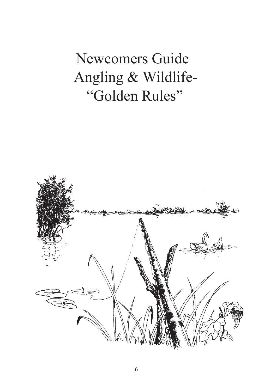# Newcomers Guide Angling & Wildlife- "Golden Rules"

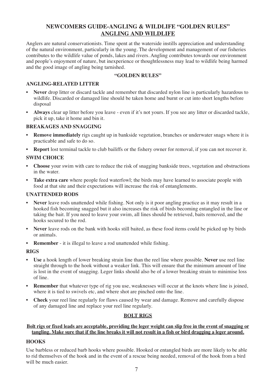# **NEWCOMERS GUIDE-ANGLING & WILDLIFE "GOLDEN RULES" ANGLING AND WILDLIFE**

Anglers are natural conservationists. Time spent at the waterside instills appreciation and understanding of the natural environment, particularly in the young. The development and management of our fisheries contributes to the wildlife value of ponds, lakes and rivers. Angling contributes towards our environment and people's enjoyment of nature, but inexperience or thoughtlessness may lead to wildlife being harmed and the good image of angling being tarnished.

#### **"GOLDEN RULES"**

#### **ANGLING-RELATED LITTER**

- **Never** drop litter or discard tackle and remember that discarded nylon line is particularly hazardous to wildlife. Discarded or damaged line should be taken home and burnt or cut into short lengths before disposal
- **Always** clear up litter before you leave even if it's not yours. If you see any litter or discarded tackle, pick it up, take it home and bin it.

#### **BREAKAGES AND SNAGGING**

- **Remove immediately** rigs caught up in bankside vegetation, branches or underwater snags where it is practicable and safe to do so.
- **Report** lost terminal tackle to club bailiffs or the fishery owner for removal, if you can not recover it.

#### **SWIM CHOICE**

- **Choose** your swim with care to reduce the risk of snagging bankside trees, vegetation and obstructions in the water.
- **Take extra care** where people feed waterfowl; the birds may have learned to associate people with food at that site and their expectations will increase the risk of entanglements.

#### **UNATTENDED RODS**

- **Never** leave rods unattended while fishing. Not only is it poor angling practice as it may result in a hooked fish becoming snagged but it also increases the risk of birds becoming entangled in the line or taking the bait. If you need to leave your swim, all lines should be retrieved, baits removed, and the hooks secured to the rod.
- **Never** leave rods on the bank with hooks still baited, as these food items could be picked up by birds or animals.
- **Remember** it is illegal to leave a rod unattended while fishing.

#### **RIGS**

- **Use** a hook length of lower breaking strain line than the reel line where possible. **Never** use reel line straight through to the hook without a weaker link. This will ensure that the minimum amount of line is lost in the event of snagging. Leger links should also be of a lower breaking strain to minimise loss of line.
- **Remember** that whatever type of rig you use, weaknesses will occur at the knots where line is joined, where it is tied to swivels etc, and where shot are pinched onto the line.
- **Check** your reel line regularly for flaws caused by wear and damage. Remove and carefully dispose of any damaged line and replace your reel line regularly.

#### **BOLT RIGS**

#### **Bolt rigs or fixed leads are acceptable, providing the leger weight can slip free in the event of snagging or tangling. Make sure that if the line breaks it will not result in a fish or bird dragging a leger around.**

## **HOOKS**

Use barbless or reduced barb hooks where possible. Hooked or entangled birds are more likely to be able to rid themselves of the hook and in the event of a rescue being needed, removal of the hook from a bird will be much easier.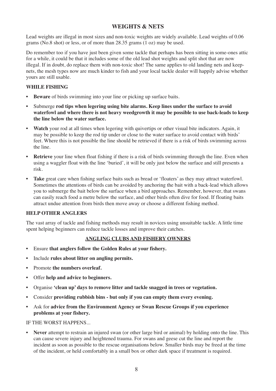# **WEIGHTS & NETS**

Lead weights are illegal in most sizes and non-toxic weights are widely available. Lead weights of 0.06 grams (No.8 shot) or less, or of more than 28.35 grams (1 oz) may be used.

Do remember too if you have just been given some tackle that perhaps has been sitting in some-ones attic for a while, it could be that it includes some of the old lead shot weights and split shot that are now illegal. If in doubt, do replace them with non-toxic shot! The same applies to old landing nets and keepnets, the mesh types now are much kinder to fish and your local tackle dealer will happily advise whether yours are still usable.

#### **WHILE FISHING**

- **Beware** of birds swimming into your line or picking up surface baits.
- Submerge **rod tips when legering using bite alarms. Keep lines under the surface to avoid waterfowl and where there is not heavy weedgrowth it may be possible to use back-leads to keep the line below the water surface.**
- **Watch** your rod at all times when legering with quivertips or other visual bite indicators. Again, it may be possible to keep the rod tip under or close to the water surface to avoid contact with birds' feet. Where this is not possible the line should be retrieved if there is a risk of birds swimming across the line.
- **Retrieve** your line when float fishing if there is a risk of birds swimming through the line. Even when using a waggler float with the line 'buried', it will be only just below the surface and still presents a risk.
- Take great care when fishing surface baits such as bread or 'floaters' as they may attract waterfowl. Sometimes the attentions of birds can be avoided by anchoring the bait with a back-lead which allows you to submerge the bait below the surface when a bird approaches. Remember, however, that swans can easily reach food a metre below the surface, and other birds often dive for food. If floating baits attract undue attention from birds then move away or choose a different fishing method.

#### **HELP OTHER ANGLERS**

The vast array of tackle and fishing methods may result in novices using unsuitable tackle. A little time spent helping beginners can reduce tackle losses and improve their catches.

#### **ANGLING CLUBS AND FISHERY OWNERS**

- Ensure **that anglers follow the Golden Rules at your fishery.**
- Include **rules about litter on angling permits.**
- Promote **the numbers overleaf.**
- Offer **help and advice to beginners.**
- Organise **'clean up' days to remove litter and tackle snagged in trees or vegetation.**
- Consider **providing rubbish bins but only if you can empty them every evening.**
- Ask for **advice from the Environment Agency or Swan Rescue Groups if you experience problems at your fishery.**

IF THE WORST HAPPENS...

• **Never** attempt to restrain an injured swan (or other large bird or animal) by holding onto the line. This can cause severe injury and heightened trauma. For swans and geese cut the line and report the incident as soon as possible to the rescue organisations below. Smaller birds may be freed at the time of the incident, or held comfortably in a small box or other dark space if treatment is required.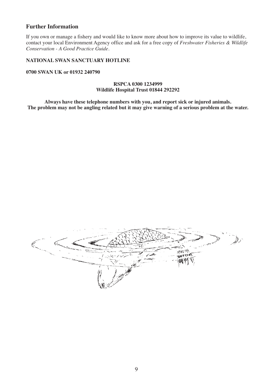#### **Further Information**

If you own or manage a fishery and would like to know more about how to improve its value to wildlife, contact your local Environment Agency office and ask for a free copy of *Freshwater Fisheries & Wildlife Conservation - A Good Practice Guide.*

#### **NATIONAL SWAN SANCTUARY HOTLINE**

**0700 SWAN UK or 01932 240790**

#### **RSPCA 0300 1234999 Wildlife Hospital Trust 01844 292292**

**Always have these telephone numbers with you, and report sick or injured animals.** The problem may not be angling related but it may give warning of a serious problem at the water.

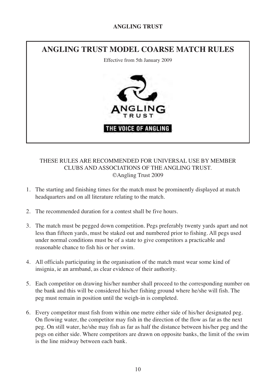# **ANGLING TRUST**



# THESE RULES ARE RECOMMENDED FOR UNIVERSAL USE BY MEMBER CLUBS AND ASSOCIATIONS OF THE ANGLING TRUST. ©Angling Trust 2009

- 1. The starting and finishing times for the match must be prominently displayed at match headquarters and on all literature relating to the match.
- 2. The recommended duration for a contest shall be five hours.
- 3. The match must be pegged down competition. Pegs preferably twenty yards apart and not less than fifteen yards, must be staked out and numbered prior to fishing. All pegs used under normal conditions must be of a state to give competitors a practicable and reasonable chance to fish his or her swim.
- 4. All officials participating in the organisation of the match must wear some kind of insignia, ie an armband, as clear evidence of their authority.
- 5. Each competitor on drawing his/her number shall proceed to the corresponding number on the bank and this will be considered his/her fishing ground where he/she will fish. The peg must remain in position until the weigh-in is completed.
- 6. Every competitor must fish from within one metre either side of his/her designated peg. On flowing water, the competitor may fish in the direction of the flow as far as the next peg. On still water, he/she may fish as far as half the distance between his/her peg and the pegs on either side. Where competitors are drawn on opposite banks, the limit of the swim is the line midway between each bank.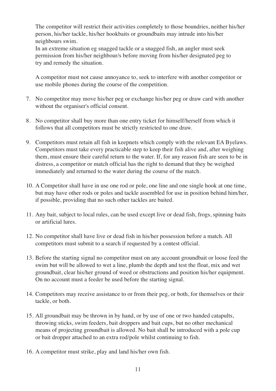The competitor will restrict their activities completely to those boundries, neither his/her person, his/her tackle, his/her hookbaits or groundbaits may intrude into his/her neighbours swim.

In an extreme situation eg snagged tackle or a snagged fish, an angler must seek permission from his/her neighbour/s before moving from his/her designated peg to try and remedy the situation.

A competitor must not cause annoyance to, seek to interfere with another competitor or use mobile phones during the course of the competition.

- 7. No competitor may move his/her peg or exchange his/her peg or draw card with another without the organiser's official consent.
- 8. No competitor shall buy more than one entry ticket for himself/herself from which it follows that all competitors must be strictly restricted to one draw.
- 9. Competitors must retain all fish in keepnets which comply with the relevant EA Byelaws. Competitors must take every practicable step to keep their fish alive and, after weighing them, must ensure their careful return to the water. If, for any reason fish are seen to be in distress, a competitor or match official has the right to demand that they be weighed immediately and returned to the water during the course of the match.
- 10. A Competitor shall have in use one rod or pole, one line and one single hook at one time, but may have other rods or poles and tackle assembled for use in position behind him/her, if possible, providing that no such other tackles are baited.
- 11. Any bait, subject to local rules, can be used except live or dead fish, frogs, spinning baits or artificial lures.
- 12. No competitor shall have live or dead fish in his/her possession before a match. All competitors must submit to a search if requested by a contest official.
- 13. Before the starting signal no competitor must on any account groundbait or loose feed the swim but will be allowed to wet a line, plumb the depth and test the float, mix and wet groundbait, clear his/her ground of weed or obstructions and position his/her equipment. On no account must a feeder be used before the starting signal.
- 14. Competitors may receive assistance to or from their peg, or both, for themselves or their tackle, or both.
- 15. All groundbait may be thrown in by hand, or by use of one or two handed catapults, throwing sticks, swim feeders, bait droppers and bait cups, but no other mechanical means of projecting groundbait is allowed. No bait shall be introduced with a pole cup or bait dropper attached to an extra rod/pole whilst continuing to fish.
- 16. A competitor must strike, play and land his/her own fish.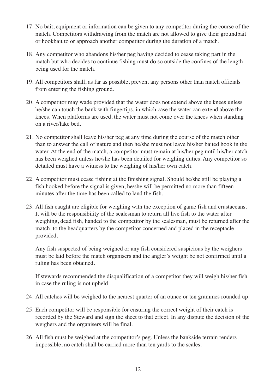- 17. No bait, equipment or information can be given to any competitor during the course of the match. Competitors withdrawing from the match are not allowed to give their groundbait or hookbait to or approach another competitor during the duration of a match.
- 18. Any competitor who abandons his/her peg having decided to cease taking part in the match but who decides to continue fishing must do so outside the confines of the length being used for the match.
- 19. All competitors shall, as far as possible, prevent any persons other than match officials from entering the fishing ground.
- 20. A competitor may wade provided that the water does not extend above the knees unless he/she can touch the bank with fingertips, in which case the water can extend above the knees. When platforms are used, the water must not come over the knees when standing on a river/lake bed.
- 21. No competitor shall leave his/her peg at any time during the course of the match other than to answer the call of nature and then he/she must not leave his/her baited hook in the water. At the end of the match, a competitor must remain at his/her peg until his/her catch has been weighed unless he/she has been detailed for weighing duties. Any competitor so detailed must have a witness to the weighing of his/her own catch.
- 22. A competitor must cease fishing at the finishing signal. Should he/she still be playing a fish hooked before the signal is given, he/she will be permitted no more than fifteen minutes after the time has been called to land the fish.
- 23. All fish caught are eligible for weighing with the exception of game fish and crustaceans. It will be the responsibility of the scalesman to return all live fish to the water after weighing, dead fish, handed to the competitor by the scalesman, must be returned after the match, to the headquarters by the competitor concerned and placed in the receptacle provided.

Any fish suspected of being weighed or any fish considered suspicious by the weighers must be laid before the match organisers and the angler's weight be not confirmed until a ruling has been obtained.

If stewards recommended the disqualification of a competitor they will weigh his/her fish in case the ruling is not upheld.

- 24. All catches will be weighed to the nearest quarter of an ounce or ten grammes rounded up.
- 25. Each competitor will be responsible for ensuring the correct weight of their catch is recorded by the Steward and sign the sheet to that effect. In any dispute the decision of the weighers and the organisers will be final.
- 26. All fish must be weighed at the competitor's peg. Unless the bankside terrain renders impossible, no catch shall be carried more than ten yards to the scales.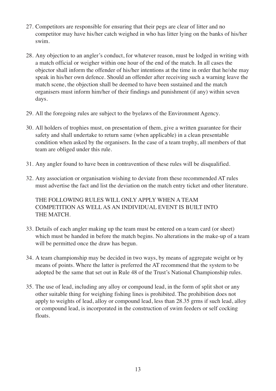- 27. Competitors are responsible for ensuring that their pegs are clear of litter and no competitor may have his/her catch weighed in who has litter lying on the banks of his/her swim.
- 28. Any objection to an angler's conduct, for whatever reason, must be lodged in writing with a match official or weigher within one hour of the end of the match. In all cases the objector shall inform the offender of his/her intentions at the time in order that he/she may speak in his/her own defence. Should an offender after receiving such a warning leave the match scene, the objection shall be deemed to have been sustained and the match organisers must inform him/her of their findings and punishment (if any) within seven days.
- 29. All the foregoing rules are subject to the byelaws of the Environment Agency.
- 30. All holders of trophies must, on presentation of them, give a written guarantee for their safety and shall undertake to return same (when applicable) in a clean presentable condition when asked by the organisers. In the case of a team trophy, all members of that team are obliged under this rule.
- 31. Any angler found to have been in contravention of these rules will be disqualified.
- 32. Any association or organisation wishing to deviate from these recommended AT rules must advertise the fact and list the deviation on the match entry ticket and other literature.

THE FOLLOWING RULES WILL ONLY APPLY WHEN A TEAM COMPETITION AS WELL AS AN INDIVIDUAL EVENT IS BUILT INTO THE MATCH.

- 33. Details of each angler making up the team must be entered on a team card (or sheet) which must be handed in before the match begins. No alterations in the make-up of a team will be permitted once the draw has begun.
- 34. A team championship may be decided in two ways, by means of aggregate weight or by means of points. Where the latter is preferred the AT recommend that the system to be adopted be the same that set out in Rule 48 of the Trust's National Championship rules.
- 35. The use of lead, including any alloy or compound lead, in the form of split shot or any other suitable thing for weighing fishing lines is prohibited. The prohibition does not apply to weights of lead, alloy or compound lead, less than 28.35 grms if such lead, alloy or compound lead, is incorporated in the construction of swim feeders or self cocking floats.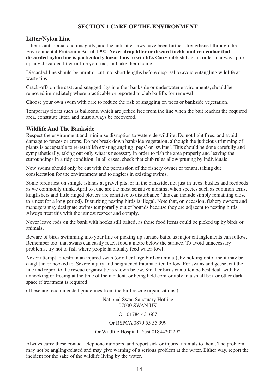# **SECTION 1 CARE OF THE ENVIRONMENT**

#### **Litter/Nylon Line**

Litter is anti-social and unsightly, and the anti-litter laws have been further strengthened through the Environmental Protection Act of 1990. **Never drop litter or discard tackle and remember that discarded nylon line is particularly hazardous to wildlife.** Carry rubbish bags in order to always pick up any discarded litter or line you find, and take them home.

Discarded line should be burnt or cut into short lengths before disposal to avoid entangling wildlife at waste tips.

Crack-offs on the cast, and snagged rigs in either bankside or underwater environments, should be removed immediately where practicable or reported to club bailiffs for removal.

Choose your own swim with care to reduce the risk of snagging on trees or bankside vegetation.

Temporary floats such as balloons, which are jerked free from the line when the bait reaches the required area, constitute litter, and must always be recovered.

#### **Wildlife And The Bankside**

Respect the environment and minimise disruption to waterside wildlife. Do not light fires, and avoid damage to fences or crops. Do not break down bankside vegetation, although the judicious trimming of plants is acceptable to re-establish existing angling 'pegs' or 'swims'. This should be done carefully and sympathetically, taking out only what is necessary in order to fish the area properly and leaving the surroundings in a tidy condition. In all cases, check that club rules allow pruning by individuals.

New swims should only be cut with the permission of the fishery owner or tenant, taking due consideration for the environment and to anglers in existing swims.

Some birds nest on shingle islands at gravel pits, or in the bankside, not just in trees, bushes and reedbeds as we commonly think. April to June are the most sensitive months, when species such as common terns, kingfishers and little ringed plovers are sensitive to disturbance (this can include simply remaining close to a nest for a long period). Disturbing nesting birds is illegal. Note that, on occasion, fishery owners and managers may designate swims temporarily out of bounds because they are adjacent to nesting birds. Always treat this with the utmost respect and comply.

Never leave rods on the bank with hooks still baited, as these food items could be picked up by birds or animals.

Beware of birds swimming into your line or picking up surface baits, as major entanglements can follow. Remember too, that swans can easily reach food a metre below the surface. To avoid unnecessary problems, try not to fish where people habitually feed water-fowl.

Never attempt to restrain an injured swan (or other large bird or animal), by holding onto line it may be caught in or hooked to. Severe injury and heightened trauma often follow. For swans and geese, cut the line and report to the rescue organisations shown below. Smaller birds can often be best dealt with by unhooking or freeing at the time of the incident, or being held comfortably in a small box or other dark space if treatment is required.

(These are recommended guidelines from the bird rescue organisations.)

National Swan Sanctuary Hotline 07000 SWAN UK

#### Or 01784 431667

#### Or RSPCA 0870 55 55 999

#### Or Wildlife Hospital Trust 01844292292

Always carry these contact telephone numbers, and report sick or injured animals to them. The problem may not be angling-related and may give warning of a serious problem at the water. Either way, report the incident for the sake of the wildlife living by the water.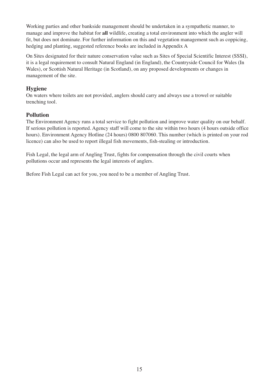Working parties and other bankside management should be undertaken in a sympathetic manner, to manage and improve the habitat for **all** wildlife, creating a total environment into which the angler will fit, but does not dominate. For further information on this and vegetation management such as coppicing, hedging and planting, suggested reference books are included in Appendix A

On Sites designated for their nature conservation value such as Sites of Special Scientific Interest (SSSI), it is a legal requirement to consult Natural England (in England), the Countryside Council for Wales (In Wales), or Scottish Natural Heritage (in Scotland), on any proposed developments or changes in management of the site.

# **Hygiene**

On waters where toilets are not provided, anglers should carry and always use a trowel or suitable trenching tool.

## **Pollution**

The Environment Agency runs a total service to fight pollution and improve water quality on our behalf. If serious pollution is reported. Agency staff will come to the site within two hours (4 hours outside office hours). Environment Agency Hotline (24 hours) 0800 807060. This number (which is printed on your rod licence) can also be used to report illegal fish movements, fish-stealing or introduction.

Fish Legal, the legal arm of Angling Trust, fights for compensation through the civil courts when pollutions occur and represents the legal interests of anglers.

Before Fish Legal can act for you, you need to be a member of Angling Trust.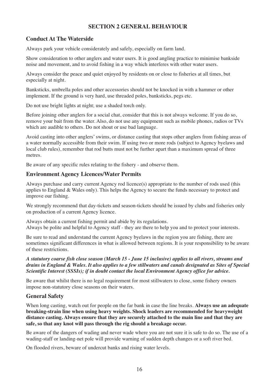# **SECTION 2 GENERAL BEHAVIOUR**

# **Conduct At The Waterside**

Always park your vehicle considerately and safely, especially on farm land.

Show consideration to other anglers and water users. It is good angling practice to minimise bankside noise and movement, and to avoid fishing in a way which interferes with other water users.

Always consider the peace and quiet enjoyed by residents on or close to fisheries at all times, but especially at night.

Banksticks, umbrella poles and other accessories should not be knocked in with a hammer or other implement. If the ground is very hard, use threaded poles, banksticks, pegs etc.

Do not use bright lights at night; use a shaded torch only.

Before joining other anglers for a social chat, consider that this is not always welcome. If you do so, remove your bait from the water. Also, do not use any equipment such as mobile phones, radios or TVs which are audible to others. Do not shout or use bad language.

Avoid casting into other anglers' swims, or distance casting that stops other anglers from fishing areas of a water normally accessible from their swim. If using two or more rods (subject to Agency byelaws and local club rules), remember that rod butts must not be further apart than a maximum spread of three metres.

Be aware of any specific rules relating to the fishery - and observe them.

#### **Environment Agency Licences/Water Permits**

Always purchase and carry current Agency rod licence(s) appropriate to the number of rods used (this applies to England & Wales only). This helps the Agency to secure the funds necessary to protect and improve our fishing.

We strongly recommend that day-tickets and season-tickets should be issued by clubs and fisheries only on production of a current Agency licence.

Always obtain a current fishing permit and abide by its regulations. Always be polite and helpful to Agency staff - they are there to help you and to protect your interests.

Be sure to read and understand the current Agency byelaws in the region you are fishing, there are sometimes significant differences in what is allowed between regions. It is your responsibility to be aware of these restrictions.

#### *A statutory coarse fish close season (March 15 - June 15 inclusive) applies to all rivers, streams and drains in England & Wales. It also applies to a few stillwaters and canals designated as Sites of Special Scientific Interest (SSSIs); if in doubt contact the local Environment Agency office for advice.*

Be aware that whilst there is no legal requirement for most stillwaters to close, some fishery owners impose non-statutory close seasons on their waters.

## **General Safety**

When long casting, watch out for people on the far bank in case the line breaks. **Always use an adequate breaking-strain line when using heavy weights. Shock leaders are recommended for heavyweight distance casting. Always ensure that they are securely attached to the main line and that they are safe, so that any knot will pass through the rig should a breakage occur.**

Be aware of the dangers of wading and never wade where you are not sure it is safe to do so. The use of a wading-staff or landing-net pole will provide warning of sudden depth changes or a soft river bed.

On flooded rivers, beware of undercut banks and rising water levels.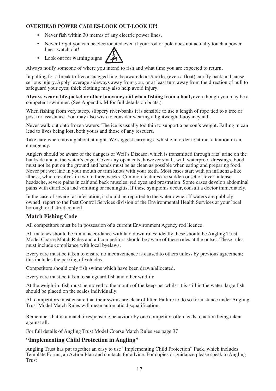#### **OVERHEAD POWER CABLES-LOOK OUT-LOOK UP!**

- Never fish within 30 metres of any electric power lines.
- Never forget you can be electrocuted even if your rod or pole does not actually touch a power line - watch out!
- Look out for warning signs

Always notify someone of where you intend to fish and what time you are expected to return.

In pulling for a break to free a snagged line, be aware leads/tackle, (even a float) can fly back and cause serious injury. Apply leverage sideways away from you, or at least turn away from the direction of pull to safeguard your eyes; thick clothing may also help avoid injury.

**Always wear a life-jacket or other buoyancy aid when fishing from a boat,** even though you may be a competent swimmer. (See Appendix M for full details on boats.)

When fishing from very steep, slippery river-banks it is sensible to use a length of rope tied to a tree or post for assistance. You may also wish to consider wearing a lightweight buoyancy aid.

Never walk out onto frozen waters. The ice is usually too thin to support a person's weight. Falling in can lead to lives being lost, both yours and those of any rescuers.

Take care when moving about at night. We suggest carrying a whistle in order to attract attention in an emergency.

Anglers should be aware of the dangers of Weil's Disease, which is transmitted through rats' urine on the bankside and at the water's edge. Cover any open cuts, however small, with waterproof dressings. Food must not be put on the ground and hands must be as clean as possible when eating and preparing food. Never put wet line in your mouth or trim knots with your teeth. Most cases start with an influenza-like illness, which resolves in two to three weeks. Common features are sudden onset of fever, intense headache, severe pains in calf and back muscles, red eyes and prostration. Some cases develop abdominal pains with diarrhoea and vomiting or meningitis. If these symptoms occur, consult a doctor immediately.

In the case of severe rat infestation, it should be reported to the water owner. If waters are publicly owned, report to the Pest Control Services division of the Environmental Health Services at your local borough or district council.

## **Match Fishing Code**

All competitors must be in possession of a current Environment Agency rod licence.

All matches should be run in accordance with laid down rules; ideally these should be Angling Trust Model Coarse Match Rules and all competitors should be aware of these rules at the outset. These rules must include compliance with local byelaws.

Every care must be taken to ensure no inconvenience is caused to others unless by previous agreement; this includes the parking of vehicles.

Competitors should only fish swims which have been drawn/allocated.

Every care must be taken to safeguard fish and other wildlife

At the weigh-in, fish must be moved to the mouth of the keep-net whilst it is still in the water, large fish should be placed on the scales individually.

All competitors must ensure that their swims are clear of litter. Failure to do so for instance under Angling Trust Model Match Rules will mean automatic disqualification.

Remember that in a match irresponsible behaviour by one competitor often leads to action being taken against all.

For full details of Angling Trust Model Coarse Match Rules see page 37

## **"Implementing Child Protection in Angling"**

Angling Trust has put together an easy to use "Implementing Child Protection" Pack, which includes Template Forms, an Action Plan and contacts for advice. For copies or guidance please speak to Angling Trust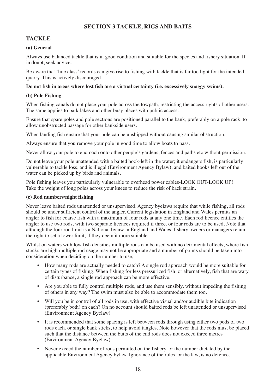# **SECTION 3 TACKLE, RIGS AND BAITS**

# **TACKLE**

#### **(a) General**

Always use balanced tackle that is in good condition and suitable for the species and fishery situation. If in doubt, seek advice.

Be aware that 'line class' records can give rise to fishing with tackle that is far too light for the intended quarry. This is actively discouraged.

#### **Do not fish in areas where lost fish are a virtual certainty (i.e. excessively snaggy swims).**

#### **(b) Pole Fishing**

When fishing canals do not place your pole across the towpath, restricting the access rights of other users. The same applies to park lakes and other busy places with public access.

Ensure that spare poles and pole sections are positioned parallel to the bank, preferably on a pole rack, to allow unobstructed passage for other bankside users.

When landing fish ensure that your pole can be unshipped without causing similar obstruction.

Always ensure that you remove your pole in good time to allow boats to pass.

Never allow your pole to encroach onto other people's gardens, fences and paths etc without permission.

Do not leave your pole unattended with a baited hook-left in the water; it endangers fish, is particularly vulnerable to tackle loss, and is illegal (Environment Agency Bylaw), and baited hooks left out of the water can be picked up by birds and animals.

Pole fishing leaves you particularly vulnerable to overhead power cables-LOOK OUT-LOOK UP! Take the weight of long poles across your knees to reduce the risk of back strain.

#### **(c) Rod numbers/night fishing**

Never leave baited rods unattended or unsupervised. Agency byelaws require that while fishing, all rods should be under sufficient control of the angler. Current legislation in England and Wales permits an angler to fish for coarse fish with a maximum of four rods at any one time. Each rod licence entitles the angler to use two rods, with two separate licences required if three, or four rods are to be used. Note that although the four rod limit is a National bylaw in England and Wales, fishery owners or managers retain the right to set a lower limit, if they deem it more suitable.

Whilst on waters with low fish densities multiple rods can be used with no detrimental effects, where fish stocks are high multiple rod usage may not be appropriate and a number of points should be taken into consideration when deciding on the number to use;

- How many rods are actually needed to catch? A single rod approach would be more suitable for certain types of fishing. When fishing for less pressurized fish, or alternatively, fish that are wary of disturbance, a single rod approach can be more effective.
- Are you able to fully control multiple rods, and use them sensibly, without impeding the fishing of others in any way? The swim must also be able to accommodate them too.
- Will you be in control of all rods in use, with effective visual and/or audible bite indication (preferably both) on each? On no account should baited rods be left unattended or unsupervised (Environment Agency Byelaw)
- It is recommended that some spacing is left between rods through using either two pods of two rods each, or single bank sticks, to help avoid tangles. Note however that the rods must be placed such that the distance between the butts of the end rods does not exceed three metres (Environment Agency Byelaw)
- Never exceed the number of rods permitted on the fishery, or the number dictated by the applicable Environment Agency bylaw. Ignorance of the rules, or the law, is no defence.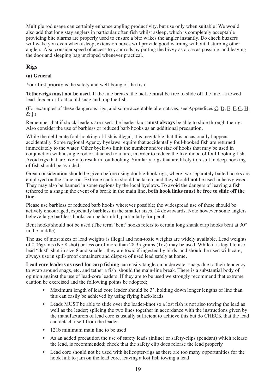Multiple rod usage can certainly enhance angling productivity, but use only when suitable! We would also add that long stay anglers in particular often fish whilst asleep, which is completely acceptable providing bite alarms are properly used to ensure a bite wakes the angler instantly. Do check buzzers will wake you even when asleep, extension boxes will provide good warning without disturbing other anglers. Also consider speed of access to your rods by putting the bivvy as close as possible, and leaving the door and sleeping bag unzipped whenever practical.

# **Rigs**

# **(a) General**

Your first priority is the safety and well-being of the fish.

**Tether-rigs must not be used.** If the line breaks, the tackle **must** be free to slide off the line - a towed lead, feeder or float could snag and trap the fish.

(For examples of these dangerous rigs, and some acceptable alternatives, see Appendices C, D, E, F, G, H, & I.)

Remember that if shock-leaders are used, the leader-knot **must always** be able to slide through the rig. Also consider the use of barbless or reduced barb hooks as an additional precaution.

While the deliberate foul-hooking of fish is illegal, it is inevitable that this occasionally happens accidentally. Some regional Agency byelaws require that accidentally foul-hooked fish are returned immediately to the water. Other byelaws limit the number and/or size of hooks that may be used in conjunction with a single rod or attached to a lure, in order to reduce the likelihood of foul-hooking fish. Avoid rigs that are likely to result in foulhooking. Similarly, rigs that are likely to result in deep-hooking of fish should be avoided.

Great consideration should be given before using double-hook rigs, where two separately baited hooks are employed on the same rod. Extreme caution should be taken, and they should **not** be used in heavy weed. They may also be banned in some regions by the local byelaws. To avoid the dangers of leaving a fish tethered to a snag in the event of a break in the main line, **both hook links must be free to slide off the line.**

Please use barbless or reduced barb hooks wherever possible; the widespread use of these should be actively encouraged, especially barbless in the smaller sizes, 14 downwards. Note however some anglers believe large barbless hooks can be harmful, particularly for perch.

Bent hooks should not be used (The term 'bent' hooks refers to certain long shank carp hooks bent at 30° in the middle)

The use of most sizes of lead weights is illegal and non-toxic weights are widely available. Lead weights of 0.06grams (No.8 shot) or less or of more than 28.35 grams (1oz) may be used. While it is legal to use lead "dust" shot in size 8 and smaller, they are toxic if ingested by birds, and should be used with care; always use in spill-proof containers and dispose of used lead safely at home.

Lead core leaders as used for carp fishing can easily tangle on underwater snags due to their tendency to wrap around snags, etc. and tether a fish, should the main-line break. There is a substantial body of opinion against the use of lead-core leaders. If they are to be used we strongly recommend that extreme caution be exercised and the following points be adopted;

- Maximum length of lead core leader should be 3', holding down longer lengths of line than this can easily be achieved by using flying back-leads
- Leads MUST be able to slide over the leader-knot so a lost fish is not also towing the lead as well as the leader; splicing the two lines together in accordance with the instructions given by the manufacturers of lead core is usually sufficient to achieve this but do CHECK that the lead can detach itself from the leader
- 121b minimum main line to be used
- As an added precaution the use of safety leads (inline) or safety-clips (pendant) which release the lead, is recommended; check that the safety clip does release the lead properly
- Lead core should not be used with helicopter-rigs as there are too many opportunities for the hook link to jam on the lead core, leaving a lost fish towing a lead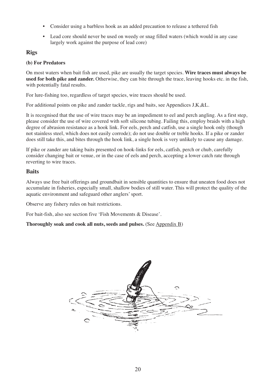- Consider using a barbless hook as an added precaution to release a tethered fish
- Lead core should never be used on weedy or snag filled waters (which would in any case largely work against the purpose of lead core)

# **Rigs**

## **(b) For Predators**

On most waters when bait fish are used, pike are usually the target species. **Wire traces must always be used for both pike and zander.** Otherwise, they can bite through the trace, leaving hooks etc. in the fish, with potentially fatal results.

For lure-fishing too, regardless of target species, wire traces should be used.

For additional points on pike and zander tackle, rigs and baits, see Appendices J,K,&L.

It is recognised that the use of wire traces may be an impediment to eel and perch angling. As a first step, please consider the use of wire covered with soft silicone tubing. Failing this, employ braids with a high degree of abrasion resistance as a hook link. For eels, perch and catfish, use a single hook only (though not stainless steel, which does not easily corrode); do not use double or treble hooks. If a pike or zander does still take this, and bites through the hook link, a single hook is very unlikely to cause any damage.

If pike or zander are taking baits presented on hook-links for eels, catfish, perch or chub, carefully consider changing bait or venue, or in the case of eels and perch, accepting a lower catch rate through reverting to wire traces.

# **Baits**

Always use free bait offerings and groundbait in sensible quantities to ensure that uneaten food does not accumulate in fisheries, especially small, shallow bodies of still water. This will protect the quality of the aquatic environment and safeguard other anglers' sport.

Observe any fishery rules on bait restrictions.

For bait-fish, also see section five 'Fish Movements & Disease'.

**Thoroughly soak and cook all nuts, seeds and pulses.** (See Appendix B)

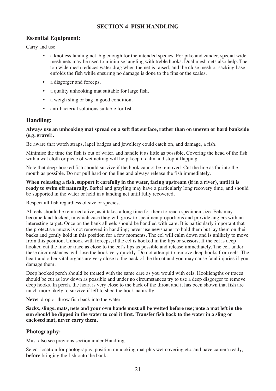# **SECTION 4 FISH HANDLING**

## **Essential Equipment:**

Carry and use

- a knotless landing net, big enough for the intended species. For pike and zander, special wide mesh nets may be used to minimise tangling with treble hooks. Dual mesh nets also help. The top wide mesh reduces water drag when the net is raised, and the close mesh or sacking base enfolds the fish while ensuring no damage is done to the fins or the scales.
- a disgorger and forceps.
- a quality unhooking mat suitable for large fish.
- a weigh sling or bag in good condition.
- anti-bacterial solutions suitable for fish.

# **Handling:**

#### **Always use an unhooking mat spread on a soft flat surface, rather than on uneven or hard bankside (e.g. gravel).**

Be aware that watch straps, lapel badges and jewellery could catch on, and damage, a fish.

Minimise the time the fish is out of water, and handle it as little as possible. Covering the head of the fish with a wet cloth or piece of wet netting will help keep it calm and stop it flapping.

Note that deep-hooked fish should survive if the hook cannot be removed. Cut the line as far into the mouth as possible. Do not pull hard on the line and always release the fish immediately.

**When releasing a fish, support it carefully in the water, facing upstream (if in a river), until it is ready to swim off naturally.** Barbel and grayling may have a particularly long recovery time, and should be supported in the water or held in a landing net until fully recovered.

Respect all fish regardless of size or species.

All eels should be returned alive, as it takes a long time for them to reach specimen size. Eels may become land-locked, in which case they will grow to specimen proportions and provide anglers with an interesting target. Once on the bank all eels should be handled with care. It is particularly important that the protective mucus is not removed in handling; never use newspaper to hold them but lay them on their backs and gently hold in this position for a few moments. The eel will calm down and is unlikely to move from this position. Unhook with forceps, if the eel is hooked in the lips or scissors. If the eel is deep hooked cut the line or trace as close to the eel's lips as possible and release immediately. The eel, under these circumstances, will lose the hook very quickly. Do not attempt to remove deep hooks from eels. The heart and other vital organs are very close to the back of the throat and you may cause fatal injuries if you damage them.

Deep hooked perch should be treated with the same care as you would with eels. Hooklengths or traces should be cut as low down as possible and under no circumstances try to use a deep disgorger to remove deep hooks. In perch, the heart is very close to the back of the throat and it has been shown that fish are much more likely to survive if left to shed the hook naturally.

**Never** drop or throw fish back into the water.

**Sacks, slings, mats, nets and your own hands must all be wetted before use; note a mat left in the sun should be dipped in the water to cool it first. Transfer fish back to the water in a sling or enclosed mat, never carry them.**

## **Photography:**

Must also see previous section under Handling.

Select location for photography, position unhooking mat plus wet covering etc, and have camera ready, **before** bringing the fish onto the bank.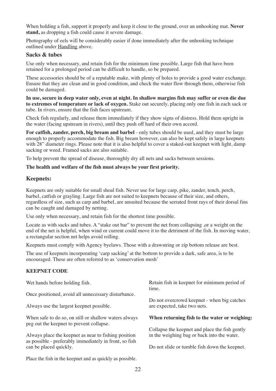When holding a fish, support it properly and keep it close to the ground, over an unhooking mat. **Never stand,** as dropping a fish could cause it severe damage.

Photography of eels will be considerably easier if done immediately after the unhooking technique outlined under Handling above.

#### **Sacks & tubes**

Use only when necessary, and retain fish for the minimum time possible. Large fish that have been retained for a prolonged period can be difficult to handle, so be prepared.

These accessories should be of a reputable make, with plenty of holes to provide a good water exchange. Ensure that they are clean and in good condition, and check the water flow through them, otherwise fish could be damaged.

**In use, secure in deep water only, even at night. In shallow margins fish may suffer or even die due to extremes of temperature or lack of oxygen.** Stake out securely, placing only one fish in each sack or tube. In rivers, ensure that the fish faces upstream.

Check fish regularly, and release them immediately if they show signs of distress. Hold them upright in the water (facing upstream in rivers), until they push off hard of their own accord.

**For catfish, zander, perch, big bream and barbel** - only tubes should be used, and they must be large enough to properly accommodate the fish. Big bream however, can also be kept safely in large keepnets with 28" diameter rings. Please note that it is also helpful to cover a staked-out keepnet with light, damp sacking or weed. Framed sacks are also suitable.

To help prevent the spread of disease, thoroughly dry all nets and sacks between sessions.

#### **The health and welfare of the fish must always be your first priority.**

#### **Keepnets:**

Keepnets are only suitable for small shoal fish. Never use for large carp, pike, zander, tench, perch, barbel, catfish or grayling. Large fish are not suited to keepnets because of their size, and others, regardless of size, such as carp and barbel, are unsuited because the serrated front rays of their dorsal fins can be caught and damaged by netting.

Use only when necessary, and retain fish for the shortest time possible.

Locate as with sacks and tubes. A "stake out bar" to prevent the net from collapsing ,or a weight on the end of the net is helpful, when wind or current could move it to the detriment of the fish. In moving water, a rectangular section net helps avoid rolling.

Keepnets must comply with Agency byelaws. Those with a drawstring or zip bottom release are best.

The use of keepnets incorporating 'carp sacking' at the bottom to provide a dark, safe area, is to be encouraged. These are often referred to as 'conservation mesh'

#### **KEEPNET CODE**

| Wet hands before holding fish.                                                                                 | Retain fish in keepnet for minimum period of<br>time.                                         |  |
|----------------------------------------------------------------------------------------------------------------|-----------------------------------------------------------------------------------------------|--|
| Once positioned, avoid all unnecessary disturbance.                                                            |                                                                                               |  |
| Always use the largest keepnet possible.                                                                       | Do not overcrowd keepnet - when big catches<br>are expected, take two nets.                   |  |
| When safe to do so, on still or shallow waters always<br>peg out the keepnet to prevent collapse.              | When returning fish to the water or weighing:                                                 |  |
| Always place the keepnet as near to fishing position<br>as possible - preferably immediately in front, so fish | Collapse the keepnet and place the fish gently<br>in the weighing bag or back into the water. |  |
| can be placed quickly.                                                                                         | Do not slide or tumble fish down the keepnet.                                                 |  |
| Place the fish in the keepnet and as quickly as possible.                                                      |                                                                                               |  |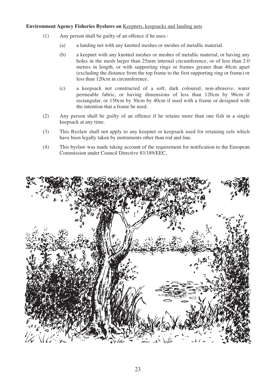#### **Environment Agency Fisheries Byelaws on** Keepnets, keepsacks and landing nets

- (1) Any person shall be guilty of an offence if he uses:-
	- (a) a landing net with any knotted meshes or meshes of metallic material.
	- (b) a keepnet with any knotted meshes or meshes of metallic material, or having any holes in the mesh larger than 25mm internal circumference, or of less than 2.0 metres in length, or with supporting rings or frames greater than 40cm apart (excluding the distance from the top frame to the first supporting ring or frame) or less than 120cm in circumference.
	- (c) a keepsack not constructed of a soft, dark coloured, non-abrasive, water permeable fabric, or having dimensions of less than 120cm by 90cm if rectangular, or 150cm by 30cm by 40cm if used with a frame or designed with the intention that a frame be used.
- (2) Any person shall be guilty of an offence if he retains more than one fish in a single keepsack at any time.
- (3) This Byelaw shall not apply to any keepnet or keepsack used for retaining eels which have been legally taken by instruments other than rod and line.
- (4) This byelaw was made taking account of the requirement for notification to the European Commission under Council Directive 83/189/EEC.

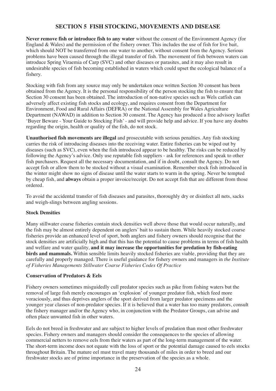# **SECTION 5 FISH STOCKING, MOVEMENTS AND DISEASE**

**Never remove fish or introduce fish to any water** without the consent of the Environment Agency (for England & Wales) and the permission of the fishery owner. This includes the use of fish for live bait, which should NOT be transferred from one water to another, without consent from the Agency. Serious problems have been caused through the illegal transfer of fish. The movement of fish between waters can introduce Spring Viraemia of Carp (SVC) and other diseases or parasites, and it may also result in undesirable species of fish becoming established in waters which could upset the ecological balance of a fishery.

Stocking with fish from any source may only be undertaken once written Section 30 consent has been obtained from the Agency. It is the personal responsibility of the person stocking the fish to ensure that Section 30 consent has been obtained. The introduction of non-native species such as Wels catfish can adversely affect existing fish stocks and ecology, and requires consent from the Department for Environment, Food and Rural Affairs (DEFRA) or the National Assembly for Wales Agriculture Department (NAWAD) in addition to Section 30 consent. The Agency has produced a free advisory leaflet 'Buyer Beware - Your Guide to Stocking Fish' - and will provide help and advice. If you have any doubts regarding the origin, health or quality of the fish, do not stock.

**Unauthorised fish movements are illegal** and prosecutable with serious penalties. Any fish stocking carries the risk of introducing diseases into the receiving water. Entire fisheries can be wiped out by diseases (such as SVC), even when the fish introduced appear to be healthy. The risks can be reduced by following the Agency's advice. Only use reputable fish suppliers - ask for references and speak to other fish purchasers. Request all the necessary documentation, and if in doubt, consult the Agency. Do not accept fish or allow them to be stocked without a visual examination. Remember stock fish introduced in the winter might show no signs of disease until the water starts to warm in the spring. Never be tempted by cheap fish, and **always** obtain a proper invoice/receipt. Do not accept fish that are different from those ordered.

To avoid the accidental transfer of fish diseases and parasites, thoroughly dry or disinfect all nets, sacks and weigh-slings between angling sessions.

#### **Stock Densities**

Many stillwater coarse fisheries contain stock densities well above those that would occur naturally, and the fish may be almost entirely dependent on anglers' bait to sustain them. While heavily stocked coarse fisheries provide an enhanced level of sport, both anglers and fishery owners should recognise that the stock densities are artificially high and that this has the potential to cause problems in terms of fish health and welfare and water quality, **and it may increase the opportunities for predation by fish-eating birds and mammals.** Within sensible limits heavily stocked fisheries are viable, providing that they are carefully and properly managed. There is useful guidance for fishery owners and managers in *the Institute of Fisheries Managements Stillwater Coarse Fisheries Codes Of Practice*

#### **Conservation of Predators & Eels**

Fishery owners sometimes misguidedly cull predator species such as pike from fishing waters but the removal of large fish merely encourages an 'explosion' of younger predator fish, which feed more voraciously, and thus deprives anglers of the sport derived from larger predator specimens and the younger year classes of non-predator species. If it is believed that a water has too many predators, consult the fishery manager and/or the Agency who, in conjunction with the Predator Groups, can advise and often place unwanted fish in other waters.

Eels do not breed in freshwater and are subject to higher levels of predation than most other freshwater species. Fishery owners and managers should consider the consequences to the species of allowing commercial netters to remove eels from their waters as part of the long-term management of the water. The short-term income does not equate with the loss of sport or the potential damage caused to eels stocks throughout Britain. The mature eel must travel many thousands of miles in order to breed and our freshwater stocks are of prime importance in the preservation of the species as a whole.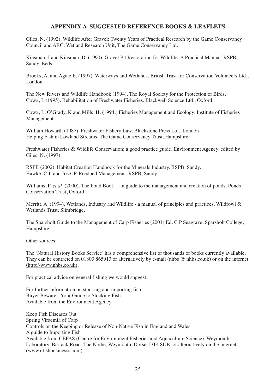## **APPENDIX A SUGGESTED REFERENCE BOOKS & LEAFLETS**

Giles, N. (1992). Wildlife After Gravel; Twenty Years of Practical Research by the Game Conservancy Council and ARC. Wetland Research Unit, The Game Conservancy Ltd.

Kinsman, J and Kinsman, D. (1990). Gravel Pit Restoration for Wildlife: A Practical Manual. RSPB, Sandy, Beds

Brooks, A. and Agate E. (1997). Waterways and Wetlands. British Trust for Conservation Volunteers Ltd., London.

The New Rivers and Wildlife Handbook (1994). The Royal Society for the Protection of Birds. Cowx, I. (1995). Rehabilitation of Freshwater Fisheries. Blackwell Science Ltd., Oxford.

Cowx, I., O'Grady, K and Mills, H. (1994.) Fisheries Management and Ecology. Institute of Fisheries Management.

William Howarth (1987). Freshwater Fishery Law. Blackstone Press Ltd., London. Helping Fish in Lowland Streams. The Game Conservancy Trust, Hampshire.

Freshwater Fisheries & Wildlife Conservation; a good practice guide. Environment Agency, edited by Giles, N. (1997).

RSPB (2002). Habitat Creation Handbook for the Minerals Industry. RSPB, Sandy. Hawke, C.J. and Jose, P. Reedbed Management. RSPB, Sandy.

Williams, P. *et al.* (2000). The Pond Book — a guide to the management and creation of ponds. Ponds Conservation Trust, Oxford.

Merritt, A. (1994). Wetlands, Industry and Wildlife - a manual of principles and practices. Wildfowl & Wetlands Trust, Slimbridge.

The Sparsholt Guide to the Management of Carp Fisheries (2001) Ed. C P Seagrave. Sparsholt College, Hampshire.

Other sources:

The 'Natural History Books Service' has a comprehensive list of thousands of books currently available. They can be contacted on 01803 865913 or alternatively by e-mail (nhbs @ nhbs.co.uk) or on the internet (http://www.nhbs.co.uk).

For practical advice on general fishing we would suggest;

For further information on stocking and importing fish: Buyer Beware - Your Guide to Stocking Fish. Available from the Environment Agency

Keep Fish Diseases Out Spring Viraemia of Carp Controls on the Keeping or Release of Non-Native Fish in England and Wales A guide to Importing Fish Available from CEFAS (Centre for Environment Fisheries and Aquaculture Science), Weymouth Laboratory, Barrack Road, The Nothe, Weymouth, Dorset DT4 8UB, or alternatively on the internet (www.efishbusinesss.com)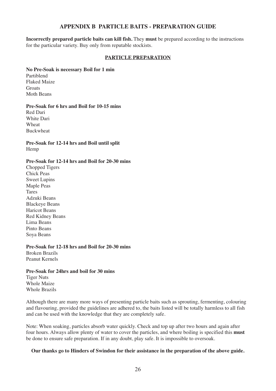#### **APPENDIX B PARTICLE BAITS - PREPARATION GUIDE**

**Incorrectly prepared particle baits can kill fish.** They **must** be prepared according to the instructions for the particular variety. Buy only from reputable stockists.

#### **PARTICLE PREPARATION**

#### **No Pre-Soak is necessary Boil for 1 min**

Partiblend Flaked Maize **Groats** Moth Beans

#### **Pre-Soak for 6 hrs and Boil for 10-15 mins**

Red Dari White Dari Wheat Buckwheat

**Pre-Soak for 12-14 hrs and Boil until split** Hemp

## **Pre-Soak for 12-14 hrs and Boil for 20-30 mins**

Chopped Tigers Chick Peas Sweet Lupins Maple Peas Tares Adzuki Beans Blackeye Beans Haricot Beans Red Kidney Beans Lima Beans Pinto Beans Soya Beans

**Pre-Soak for 12-18 hrs and Boil for 20-30 mins** Broken Brazils Peanut Kernels

**Pre-Soak for 24hrs and boil for 30 mins** Tiger Nuts Whole Maize Whole Brazils

Although there are many more ways of presenting particle baits such as sprouting, fermenting, colouring and flavouring, provided the guidelines are adhered to, the baits listed will be totally harmless to all fish and can be used with the knowledge that they are completely safe.

Note: When soaking, particles absorb water quickly. Check and top up after two hours and again after four hours. Always allow plenty of water to cover the particles, and where boiling is specified this **must** be done to ensure safe preparation. If in any doubt, play safe. It is impossible to oversoak.

#### **Our thanks go to Hinders of Swindon for their assistance in the preparation of the above guide.**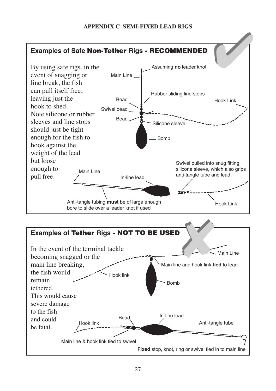# **APPENDIX C SEMI-FIXED LEAD RIGS**



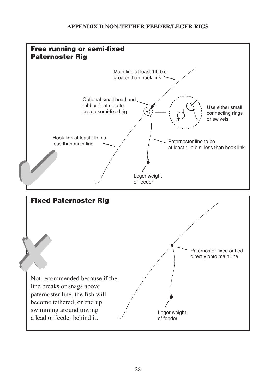# **APPENDIX D NON-TETHER FEEDER/LEGER RIGS**

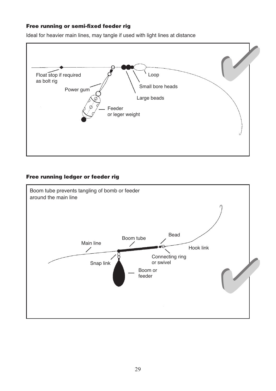# **Free running or semi-fixed feeder rig**

Ideal for heavier main lines, may tangle if used with light lines at distance



# **Free running ledger or feeder rig**

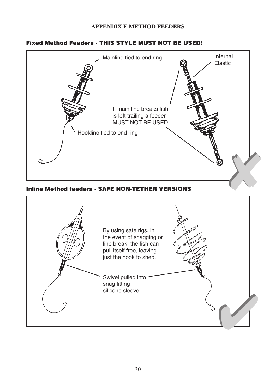# **APPENDIX E METHOD FEEDERS**

# **Fixed Method Feeders - THIS STYLE MUST NOT BE USED!**

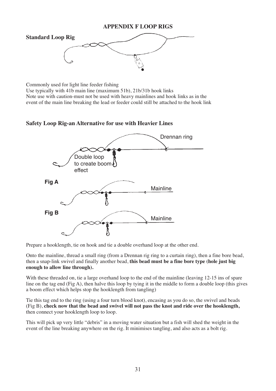

Commonly used for light line feeder fishing Use typically with 41b main line (maximum 51b), 21b/31b hook links Note use with caution-must not be used with heavy mainlines and hook links as in the event of the main line breaking the lead or feeder could still be attached to the hook link

**Safety Loop Rig-an Alternative for use with Heavier Lines**



Prepare a hooklength, tie on hook and tie a double overhand loop at the other end.

Onto the mainline, thread a small ring (from a Drennan rig ring to a curtain ring), then a fine bore bead, then a snap-link swivel and finally another bead, **this bead must be a fine bore type (hole just big enough to allow line through).**

With these threaded on, tie a large overhand loop to the end of the mainline (leaving 12-15 ins of spare line on the tag end (Fig A), then halve this loop by tying it in the middle to form a double loop (this gives a boom effect which helps stop the hooklength from tangling)

Tie this tag end to the ring (using a four turn blood knot), encasing as you do so, the swivel and beads (Fig B), **check now that the bead and swivel will not pass the knot and ride over the hooklength,** then connect your hooklength loop to loop.

This will pick up very little "debris" in a moving water situation but a fish will shed the weight in the event of the line breaking anywhere on the rig. It minimises tangling, and also acts as a bolt rig.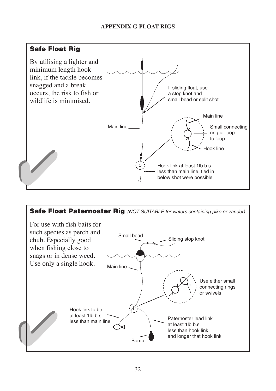# **APPENDIX G FLOAT RIGS**



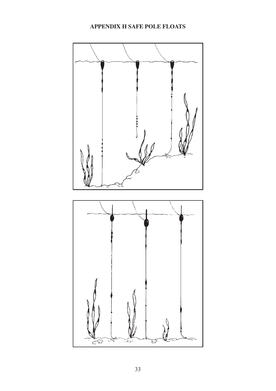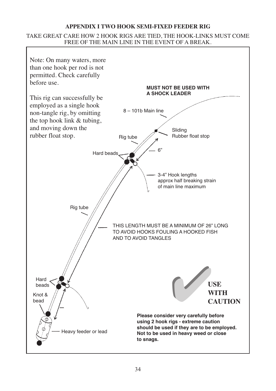# **APPENDIX I TWO HOOK SEMI-FIXED FEEDER RIG**

# TAKE GREAT CARE HOW 2 HOOK RIGS ARE TIED, THE HOOK-LINKS MUST COME FREE OF THE MAIN LINE IN THE EVENT OF A BREAK.

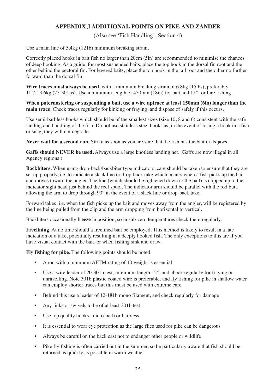# **APPENDIX J ADDITIONAL POINTS ON PIKE AND ZANDER**

#### (Also see 'Fish Handling', Section 4)

Use a main line of 5.4kg (121b) minimum breaking strain.

Correctly placed hooks in bait fish no larger than 20cm (5in) are recommended to minimise the chances of deep hooking. As a guide, for most suspended baits, place the top hook in the dorsal fin root and the other behind the pectoral fin. For legered baits, place the top hook in the tail root and the other no further forward than the dorsal fin.

**Wire traces must always be used,** with a minimum breaking strain of 6.8kg (15lbs), preferably 11.7-13.6kg (25-301bs). Use a minimum length of 450mm (18in) for bait and 15" for lure fishing.

**When paternostering or suspending a bait, use a wire uptrace at least 150mm (6in) longer than the main trace.** Check traces regularly for kinking or fraying, and dispose of safely if this occurs.

Use semi-barbless hooks which should be of the smallest sizes (size 10, 8 and 6) consistent with the safe landing and handling of the fish. Do not use stainless steel hooks as, in the event of losing a hook in a fish or snag, they will not degrade.

Never wait for a second run. Strike as soon as you are sure that the fish has the bait in its jaws.

**Gaffs should NEVER be used.** Always use a large knotless landing net. (Gaffs are now illegal in all Agency regions.)

**Backbiters.** When using drop-back/backbiter type indicators, care should be taken to ensure that they are set up properly, i.e. to indicate a slack line or drop-back take which occurs when a fish picks up the bait and moves toward the angler. The line (which should be tightened down to the bait) is clipped up to the indicator sight head just behind the reel spool. The indicator arm should be parallel with the rod butt, allowing the arm to drop through 90° in the event of a slack line or drop-back take.

Forward takes, i.e. when the fish picks up the bait and moves away from the angler, will be registered by the line being pulled from the clip and the arm dropping from horizontal to vertical.

Backbiters occasionally **freeze** in position, so in sub-zero temperatures check them regularly.

**Freelining.** At no time should a freelined bait be employed. This method is likely to result in a late indication of a take, potentially resulting in a deeply hooked fish. The only exceptions to this are if you have visual contact with the bait, or when fishing sink and draw.

**Fly fishing for pike.** The following points should be noted.

- A rod with a minimum AFTM rating of 10 weight is essential
- Use a wire leader of 20-301b test, minimum length 12", and check regularly for fraying or unravelling. Note 301b plastic coated wire is preferable, and fly fishing for pike in shallow water can employ shorter traces but this must be used with extreme care
- Behind this use a leader of 12-181b mono filament, and check regularly for damage
- Any links or swivels to be of at least 301b test
- Use top quality hooks, micro-barb or barbless
- It is essential to wear eye protection as the large flies used for pike can be dangerous
- Always be careful on the back cast not to endanger other people or wildlife
- Pike fly fishing is often carried out in the summer, so be particularly aware that fish should be returned as quickly as possible in warm weather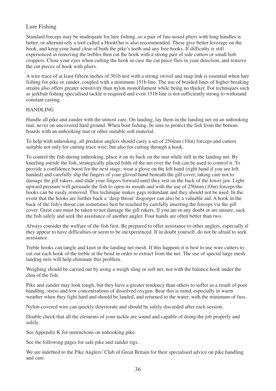# Lure Fishing

Standard forceps may be inadequate for lure fishing, so a pair of fine nosed pliers with long handles is better, or alternatively a tool called a HookOut is also recommended. These give better leverage on the hook, and keep your hand clear of both the pike's teeth and any free hooks. If difficulty is still experienced in removing the trebles then cut the hook with a strong pair of side cutters or small bolt croppers. Close your eyes when cutting the hook in case the cut piece flies in your direction, and remove the cut pieces of hook with pliers.

A wire trace of at least fifteen inches of 301b test with a strong swivel and snap link is essential when lure fishing for pike or zander, coupled with a minimum 151b line. The use of braided lines of higher breaking strains also offers greater sensitivity than nylon monofilament while being no thicker. For techniques such as jerkbait fishing specialised tackle is required and even 151b line is not sufficiently strong to withstand constant casting.

#### HANDLING

Handle all pike and zander with the utmost care. On landing, lay them in the landing net on an unhooking mat, never on uncovered hard ground. When boat fishing, be sure to protect the fish from the bottom boards with an unhooking mat or other suitable soft material.

To help with unhooking, all predator anglers should carry a set of 250mm (10in) forceps and cutters suitable not only for cutting trace wire, but also for cutting through a hook.

To control the fish during unhooking, place it on its back on the mat while still in the landing net. By kneeling astride the fish, strategically placed folds of the net over the fish can be used to control it. To provide a confidence boost for the next stage, wear a glove on the left hand (right hand if you are left handed) and carefully slip the fingers of your gloved hand beneath the gill cover, taking care not to damage the gill rakers, and slide your fingers forward until they rest on the back of the lower jaw. Light upward pressure will persuade the fish to open its mouth and with the use of 250mm (10in) forceps the hooks can be easily removed. This technique makes gags redundant and they should not be used. In the event that the hooks are further back a 'deep throat' disgorger can also be a valuable aid. A hook in the back of the fish's throat can sometimes best be reached by carefully inserting the forceps via the gill cover. Great care must be taken to not damage the gill rakers. If you are in any doubt or are unsure, sack the fish safely and seek the assistance of another angler. Four hands are often better than two.

Always consider the welfare of the fish first. Be prepared to offer assistance to other anglers, especially if they appear to have difficulties or seem to be inexperienced. If in doubt yourself, do not be afraid to seek assistance.

Treble hooks can tangle and knot in the landing net mesh. If this happens it is best to use wire cutters to cut out each hook of the treble at the bend in order to extract from the net. The use of special large mesh landing nets will help eliminate this problem.

Weighing should be carried out by using a weigh sling or soft net, not with the balance hook under the chin of the fish.

Pike and zander may look tough, but they have a greater tendency than others to suffer as a result of poor handling, stress and low concentrations of dissolved oxygen. Bear this is mind, especially in warm weather when they fight hard and should be landed, and returned to the water, with the minimum of fuss.

Nylon-covered wire can quickly deteriorate and should be safely discarded after each session.

Double check that all the elements of your tackle are sound and capable of doing the job properly and safely.

See Appendix K for instructions on unhooking pike.

See the following pages for safe pike and zander rigs.

We are indebted to the Pike Anglers' Club of Great Britain for their specialised advice on pike handling and care.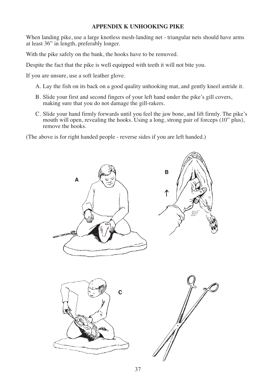## **APPENDIX K UNHOOKING PIKE**

When landing pike, use a large knotless mesh-landing net - triangular nets should have arms at least 36" in length, preferably longer.

With the pike safely on the bank, the hooks have to be removed.

Despite the fact that the pike is well equipped with teeth it will not bite you.

If you are unsure, use a soft leather glove.

A. Lay the fish on its back on a good quality unhooking mat, and gently kneel astride it.

- B. Slide your first and second fingers of your left hand under the pike's gill covers, making sure that you do not damage the gill-rakers.
- C. Slide your hand firmly forwards until you feel the jaw bone, and lift firmly. The pike's mouth will open, revealing the hooks. Using a long, strong pair of forceps (10" plus), remove the hooks.

(The above is for right handed people - reverse sides if you are left handed.)

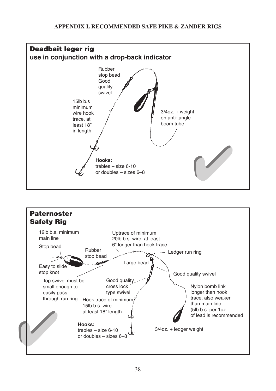# **APPENDIX L RECOMMENDED SAFE PIKE & ZANDER RIGS**



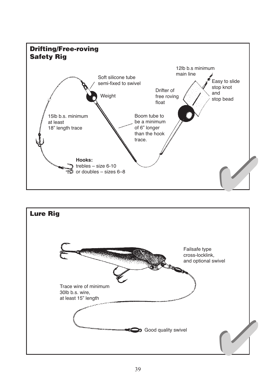

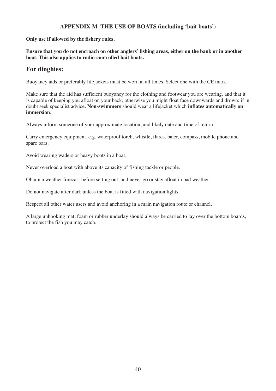## **APPENDIX M THE USE OF BOATS (including 'bait boats')**

**Only use if allowed by the fishery rules.**

**Ensure that you do not encroach on other anglers' fishing areas, either on the bank or in another boat. This also applies to radio-controlled bait boats.**

# **For dinghies:**

Buoyancy aids or preferably lifejackets must be worn at all times. Select one with the CE mark.

Make sure that the aid has sufficient buoyancy for the clothing and footwear you are wearing, and that it is capable of keeping you afloat on your back, otherwise you might float face downwards and drown: if in doubt seek specialist advice. **Non-swimmers** should wear a lifejacket which **inflates automatically on immersion.**

Always inform someone of your approximate location, and likely date and time of return.

Carry emergency equipment, e.g. waterproof torch, whistle, flares, baler, compass, mobile phone and spare oars.

Avoid wearing waders or heavy boots in a boat.

Never overload a boat with above its capacity of fishing tackle or people.

Obtain a weather forecast before setting out, and never go or stay afloat in bad weather.

Do not navigate after dark unless the boat is fitted with navigation lights.

Respect all other water users and avoid anchoring in a main navigation route or channel.

A large unhooking mat, foam or rubber underlay should always be carried to lay over the bottom boards, to protect the fish you may catch.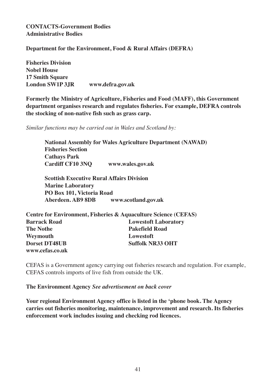# **CONTACTS-Government Bodies Administrative Bodies**

**Department for the Environment, Food & Rural Affairs (DEFRA)**

**Fisheries Division Nobel House 17 Smith Square London SW1P 3JR www.defra.gov.uk**

**Formerly the Ministry of Agriculture, Fisheries and Food (MAFF), this Government department organises research and regulates fisheries. For example, DEFRA controls the stocking of non-native fish such as grass carp.**

*Similar functions may be carried out in Wales and Scotland by:*

**National Assembly for Wales Agriculture Department (NAWAD) Fisheries Section Cathays Park Cardiff CF10 3NQ www.wales.gov.uk**

**Scottish Executive Rural Affairs Division Marine Laboratory PO Box 101, Victoria Road Aberdeen. AB9 8DB www.scotland.gov.uk**

| Centre for Environment, Fisheries & Aquaculture Science (CEFAS) |                             |  |  |  |
|-----------------------------------------------------------------|-----------------------------|--|--|--|
| <b>Barrack Road</b>                                             | <b>Lowestoft Laboratory</b> |  |  |  |
| <b>The Nothe</b>                                                | <b>Pakefield Road</b>       |  |  |  |
| Weymouth                                                        | Lowestoft                   |  |  |  |
| <b>Dorset DT48UB</b>                                            | <b>Suffolk NR33 OHT</b>     |  |  |  |
| www.cefas.co.uk                                                 |                             |  |  |  |

CEFAS is a Government agency carrying out fisheries research and regulation. For example, CEFAS controls imports of live fish from outside the UK.

**The Environment Agency** *See advertisement on back cover*

**Your regional Environment Agency office is listed in the 'phone book. The Agency carries out fisheries monitoring, maintenance, improvement and research. Its fisheries enforcement work includes issuing and checking rod licences.**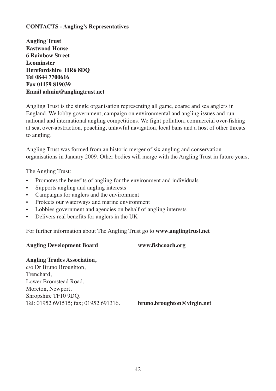# **CONTACTS - Angling's Representatives**

**Angling Trust Eastwood House 6 Rainbow Street Leominster Herefordshire HR6 8DQ Tel 0844 7700616 Fax 01159 819039 Email admin@anglingtrust.net**

Angling Trust is the single organisation representing all game, coarse and sea anglers in England. We lobby government, campaign on environmental and angling issues and run national and international angling competitions. We fight pollution, commercial over-fishing at sea, over-abstraction, poaching, unlawful navigation, local bans and a host of other threats to angling.

Angling Trust was formed from an historic merger of six angling and conservation organisations in January 2009. Other bodies will merge with the Angling Trust in future years.

The Angling Trust:

- **•** Promotes the benefits of angling for the environment and individuals
- **•** Supports angling and angling interests
- **•** Campaigns for anglers and the environment
- **•** Protects our waterways and marine environment
- **•** Lobbies government and agencies on behalf of angling interests
- **•** Delivers real benefits for anglers in the UK

For further information about The Angling Trust go to **www.anglingtrust.net**

# **Angling Development Board www.fishcoach.org**

# **Angling Trades Association,**

c/o Dr Bruno Broughton, Trenchard, Lower Bromstead Road, Moreton, Newport, Shropshire TF10 9DQ. Tel: 01952 691515; fax; 01952 691316. **bruno.broughton@virgin.net**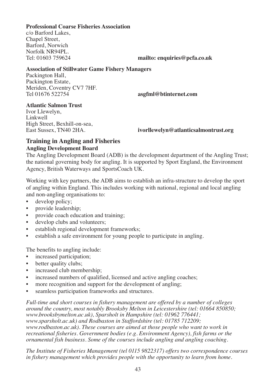# **Professional Coarse Fisheries Association**

c/o Barford Lakes, Chapel Street, Barford, Norwich Norfolk NR94PL.<br>Tel: 01603 759624

mailto: enquiries@pcfa.co.uk

#### **Association of Stillwater Game Fishery Managers**

Packington Hall, Packington Estate, Meriden, Coventry CV7 7HF.<br>Tel 01676 522754

 $asgfnl@btinternet.com$ 

# **Atlantic Salmon Trust**

Ivor Llewelyn, Linkwell High Street, Bexhill-on-sea,<br>East Sussex. TN40 2HA.

 $ivorllewelyn@atlanticsalmontrust.org$ 

# **Training in Angling and Fisheries Angling Development Board**

The Angling Development Board (ADB) is the development department of the Angling Trust; the national governing body for angling. It is supported by Sport England, the Environment Agency, British Waterways and SportsCoach UK.

Working with key partners, the ADB aims to establish an infra-structure to develop the sport of angling within England. This includes working with national, regional and local angling and non-angling organisations to:<br>  $\bullet$  develop policy:

- develop policy;
- provide leadership;
- provide coach education and training;
- develop clubs and volunteers;
- establish regional development frameworks;
- establish a safe environment for young people to participate in angling.

The benefits to angling include:

- increased participation;
- better quality clubs;
- increased club membership;
- increased numbers of qualified, licensed and active angling coaches;
- more recognition and support for the development of angling;
- seamless participation frameworks and structures.

*Full-time and short courses in fishery management are offered by a number of colleges around the country, most notably Brooksby Melton in Leicestershire (tel: 01664 850850; www.brooksbymelton.ac.uk), Sparsholt in Hampshire (tel: 01962 776441; www.sparsholt.ac.uk) and Rodbaston in Staffordshire (tel: 01785 712209; www.rodbaston.ac.uk). These courses are aimed at those people who want to work in recreational fisheries. Government bodies (e.g. Environment Agency), fish farms or the ornamental fish business. Some of the courses include angling and angling coaching.*

*The Institute of Fisheries Management (tel 0115 9822317) offers two correspondence courses in fishery management which provides people with the opportunity to learn from home.*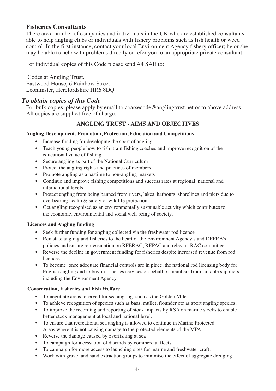# **Fisheries Consultants**

There are a number of companies and individuals in the UK who are established consultants able to help angling clubs or individuals with fishery problems such as fish health or weed control. In the first instance, contact your local Environment Agency fishery officer; he or she may be able to help with problems directly or refer you to an appropriate private consultant.

For individual copies of this Code please send A4 SAE to:

Codes at Angling Trust, Eastwood House, 6 Rainbow Street Leominster, Herefordshire HR6 8DQ

# *To obtain copies of this Code*

For bulk copies, please apply by email to coarsecode@anglingtrust.net or to above address. All copies are supplied free of charge.

# **ANGLING TRUST - AIMS AND OBJECTIVES**

#### **Angling Development, Promotion, Protection, Education and Competitions**

- Increase funding for developing the sport of angling
- Teach young people how to fish, train fishing coaches and improve recognition of the educational value of fishing
- Secure angling as part of the National Curriculum
- Protect the angling rights and practices of members
- Promote angling as a pastime to non-angling markets
- Continue and improve fishing competitions and success rates at regional, national and international levels
- Protect angling from being banned from rivers, lakes, harbours, shorelines and piers due to overbearing health & safety or wildlife protection
- Get angling recognised as an environmentally sustainable activity which contributes to the economic, environmental and social well being of society.

#### **Licences and Angling funding**

- Seek further funding for angling collected via the freshwater rod licence
- Reinstate angling and fisheries to the heart of the Environment Agency's and DEFRA's policies and ensure representation on RFERAC, REPAC and relevant RAC committees
- Reverse the decline in government funding for fisheries despite increased revenue from rod licences
- To become, once adequate financial controls are in place, the national rod licensing body for English angling and to buy in fisheries services on behalf of members from suitable suppliers including the Environment Agency

#### **Conservation, Fisheries and Fish Welfare**

- To negotiate areas reserved for sea angling, such as the Golden Mile
- To achieve recognition of species such as bass, mullet, flounder etc as sport angling species.
- To improve the recording and reporting of stock impacts by RSA on marine stocks to enable better stock management at local and national level.
- To ensure that recreational sea angling is allowed to continue in Marine Protected Areas where it is not causing damage to the protected elements of the MPA
- Reverse the damage caused by overfishing at sea
- To campaign for a cessation of discards by commercial fleets
- To campaign for more access to launching sites for marine and freshwater craft.
- Work with gravel and sand extraction groups to minimise the effect of aggregate dredging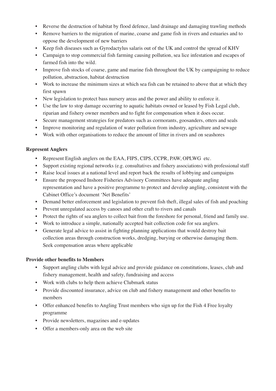- Reverse the destruction of habitat by flood defence, land drainage and damaging trawling methods
- Remove barriers to the migration of marine, coarse and game fish in rivers and estuaries and to oppose the development of new barriers
- Keep fish diseases such as Gyrodactylus salaris out of the UK and control the spread of KHV
- Campaign to stop commercial fish farming causing pollution, sea lice infestation and escapes of farmed fish into the wild.
- Improve fish stocks of coarse, game and marine fish throughout the UK by campaigning to reduce pollution, abstraction, habitat destruction
- Work to increase the minimum sizes at which sea fish can be retained to above that at which they first spawn
- New legislation to protect bass nursery areas and the power and ability to enforce it.
- Use the law to stop damage occurring to aquatic habitats owned or leased by Fish Legal club, riparian and fishery owner members and to fight for compensation when it does occur.
- Secure management strategies for predators such as cormorants, goosanders, otters and seals
- Improve monitoring and regulation of water pollution from industry, agriculture and sewage
- Work with other organisations to reduce the amount of litter in rivers and on seashores

#### **Represent Anglers**

- Represent English anglers on the EAA, FIPS, CIPS, CCPR, PAW, OPLWG etc.
- Support existing regional networks (e.g. consultatives and fishery associations) with professional staff
- Raise local issues at a national level and report back the results of lobbying and campaigns
- Ensure the proposed Inshore Fisheries Advisory Committees have adequate angling representation and have a positive programme to protect and develop angling, consistent with the Cabinet Office's document 'Net Benefits'
- Demand better enforcement and legislation to prevent fish theft, illegal sales of fish and poaching
- Prevent unregulated access by canoes and other craft to rivers and canals
- Protect the rights of sea anglers to collect bait from the foreshore for personal, friend and family use.
- Work to introduce a simple, nationally accepted bait collection code for sea anglers.
- Generate legal advice to assist in fighting planning applications that would destroy bait collection areas through construction works, dredging, burying or otherwise damaging them. Seek compensation areas where applicable

#### **Provide other benefits to Members**

- Support angling clubs with legal advice and provide guidance on constitutions, leases, club and fishery management, health and safety, fundraising and access
- Work with clubs to help them achieve Clubmark status
- Provide discounted insurance, advice on club and fishery management and other benefits to members
- Offer enhanced benefits to Angling Trust members who sign up for the Fish 4 Free loyalty programme
- Provide newsletters, magazines and e-updates
- Offer a members-only area on the web site